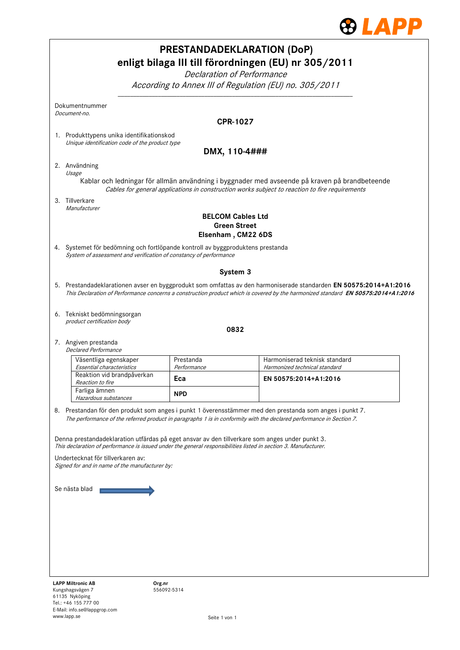

| <b>PRESTANDADEKLARATION (DoP)</b><br>enligt bilaga III till förordningen (EU) nr 305/2011<br>Declaration of Performance                                                                                                                                                                                  |                                           |                                                                                                                                                                                                                                                        |  |  |  |  |  |  |  |
|----------------------------------------------------------------------------------------------------------------------------------------------------------------------------------------------------------------------------------------------------------------------------------------------------------|-------------------------------------------|--------------------------------------------------------------------------------------------------------------------------------------------------------------------------------------------------------------------------------------------------------|--|--|--|--|--|--|--|
| According to Annex III of Regulation (EU) no. 305/2011                                                                                                                                                                                                                                                   |                                           |                                                                                                                                                                                                                                                        |  |  |  |  |  |  |  |
| Dokumentnummer<br>Document-no.                                                                                                                                                                                                                                                                           |                                           |                                                                                                                                                                                                                                                        |  |  |  |  |  |  |  |
|                                                                                                                                                                                                                                                                                                          |                                           | <b>CPR-1027</b>                                                                                                                                                                                                                                        |  |  |  |  |  |  |  |
| Unique identification code of the product type                                                                                                                                                                                                                                                           | 1. Produkttypens unika identifikationskod |                                                                                                                                                                                                                                                        |  |  |  |  |  |  |  |
|                                                                                                                                                                                                                                                                                                          |                                           | DMX, 110-4###                                                                                                                                                                                                                                          |  |  |  |  |  |  |  |
| 2. Användning                                                                                                                                                                                                                                                                                            |                                           |                                                                                                                                                                                                                                                        |  |  |  |  |  |  |  |
| Usage<br>Kablar och ledningar för allmän användning i byggnader med avseende på kraven på brandbeteende<br>Cables for general applications in construction works subject to reaction to fire requirements                                                                                                |                                           |                                                                                                                                                                                                                                                        |  |  |  |  |  |  |  |
| 3. Tillverkare                                                                                                                                                                                                                                                                                           |                                           |                                                                                                                                                                                                                                                        |  |  |  |  |  |  |  |
| Manufacturer<br><b>BELCOM Cables Ltd</b><br><b>Green Street</b><br>Elsenham, CM22 6DS                                                                                                                                                                                                                    |                                           |                                                                                                                                                                                                                                                        |  |  |  |  |  |  |  |
| 4. Systemet för bedömning och fortlöpande kontroll av byggproduktens prestanda<br>System of assessment and verification of constancy of performance                                                                                                                                                      |                                           |                                                                                                                                                                                                                                                        |  |  |  |  |  |  |  |
|                                                                                                                                                                                                                                                                                                          |                                           | System 3                                                                                                                                                                                                                                               |  |  |  |  |  |  |  |
|                                                                                                                                                                                                                                                                                                          |                                           | 5. Prestandadeklarationen avser en byggprodukt som omfattas av den harmoniserade standarden EN 50575:2014+A1:2016<br>This Declaration of Performance concerns a construction product which is covered by the harmonized standard EN 50575:2014+A1:2016 |  |  |  |  |  |  |  |
| 6. Tekniskt bedömningsorgan<br>product certification body                                                                                                                                                                                                                                                |                                           |                                                                                                                                                                                                                                                        |  |  |  |  |  |  |  |
|                                                                                                                                                                                                                                                                                                          |                                           | 0832                                                                                                                                                                                                                                                   |  |  |  |  |  |  |  |
| 7. Angiven prestanda<br><b>Declared Performance</b>                                                                                                                                                                                                                                                      |                                           |                                                                                                                                                                                                                                                        |  |  |  |  |  |  |  |
| Väsentliga egenskaper<br>Essential characteristics                                                                                                                                                                                                                                                       | Prestanda<br>Performance                  | Harmoniserad teknisk standard<br>Harmonized technical standard                                                                                                                                                                                         |  |  |  |  |  |  |  |
| Reaktion vid brandpåverkan<br>Reaction to fire                                                                                                                                                                                                                                                           | Eca                                       | EN 50575:2014+A1:2016                                                                                                                                                                                                                                  |  |  |  |  |  |  |  |
| Farliga ämnen<br>Hazardous substances                                                                                                                                                                                                                                                                    | <b>NPD</b>                                |                                                                                                                                                                                                                                                        |  |  |  |  |  |  |  |
|                                                                                                                                                                                                                                                                                                          |                                           | 8. Prestandan för den produkt som anges i punkt 1 överensstämmer med den prestanda som anges i punkt 7.<br>The performance of the referred product in paragraphs 1 is in conformity with the declared performance in Section 7.                        |  |  |  |  |  |  |  |
| Denna prestandadeklaration utfärdas på eget ansvar av den tillverkare som anges under punkt 3.<br>This declaration of performance is issued under the general responsibilities listed in section 3. Manufacturer.<br>Undertecknat för tillverkaren av:<br>Signed for and in name of the manufacturer by: |                                           |                                                                                                                                                                                                                                                        |  |  |  |  |  |  |  |
| Se nästa blad                                                                                                                                                                                                                                                                                            |                                           |                                                                                                                                                                                                                                                        |  |  |  |  |  |  |  |
|                                                                                                                                                                                                                                                                                                          |                                           |                                                                                                                                                                                                                                                        |  |  |  |  |  |  |  |
|                                                                                                                                                                                                                                                                                                          |                                           |                                                                                                                                                                                                                                                        |  |  |  |  |  |  |  |
|                                                                                                                                                                                                                                                                                                          |                                           |                                                                                                                                                                                                                                                        |  |  |  |  |  |  |  |
|                                                                                                                                                                                                                                                                                                          |                                           |                                                                                                                                                                                                                                                        |  |  |  |  |  |  |  |
|                                                                                                                                                                                                                                                                                                          |                                           |                                                                                                                                                                                                                                                        |  |  |  |  |  |  |  |
| <b>LAPP Miltronic AB</b><br>Kungshagsvägen 7                                                                                                                                                                                                                                                             | Org.nr<br>556092-5314                     |                                                                                                                                                                                                                                                        |  |  |  |  |  |  |  |